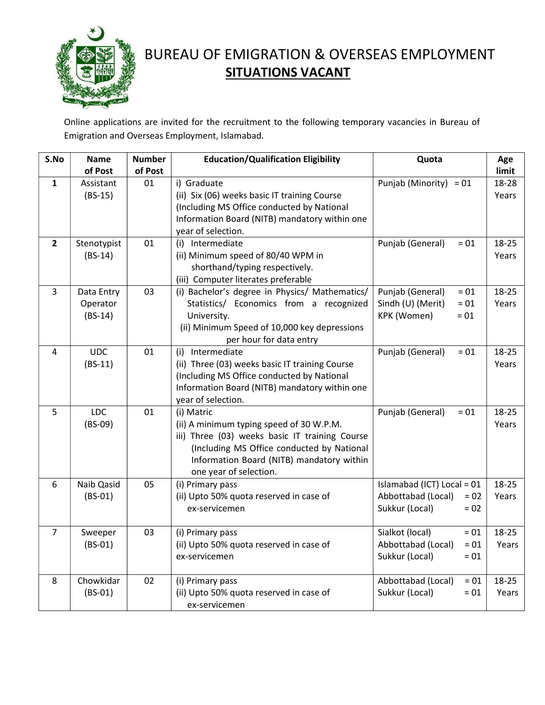

## BUREAU OF EMIGRATION & OVERSEAS EMPLOYMENT **SITUATIONS VACANT**

Online applications are invited for the recruitment to the following temporary vacancies in Bureau of Emigration and Overseas Employment, Islamabad.

| S.No           | <b>Name</b><br>of Post | <b>Number</b><br>of Post | <b>Education/Qualification Eligibility</b>                          | Quota                        | Age            |
|----------------|------------------------|--------------------------|---------------------------------------------------------------------|------------------------------|----------------|
| $\mathbf{1}$   | Assistant              | 01                       | i) Graduate                                                         | Punjab (Minority) = $01$     | limit<br>18-28 |
|                | $(BS-15)$              |                          | (ii) Six (06) weeks basic IT training Course                        |                              | Years          |
|                |                        |                          | (Including MS Office conducted by National                          |                              |                |
|                |                        |                          | Information Board (NITB) mandatory within one                       |                              |                |
|                |                        |                          | year of selection.                                                  |                              |                |
| $\overline{2}$ | Stenotypist            | 01                       | (i) Intermediate                                                    | Punjab (General)<br>$= 01$   | 18-25          |
|                | $(BS-14)$              |                          | (ii) Minimum speed of 80/40 WPM in                                  |                              | Years          |
|                |                        |                          | shorthand/typing respectively.                                      |                              |                |
|                |                        |                          | (iii) Computer literates preferable                                 |                              |                |
| $\overline{3}$ | Data Entry             | 03                       | (i) Bachelor's degree in Physics/ Mathematics/                      | Punjab (General)<br>$= 01$   | 18-25          |
|                | Operator               |                          | Statistics/ Economics from a recognized                             | Sindh (U) (Merit)<br>$= 01$  | Years          |
|                | $(BS-14)$              |                          | University.                                                         | KPK (Women)<br>$= 01$        |                |
|                |                        |                          | (ii) Minimum Speed of 10,000 key depressions                        |                              |                |
|                |                        |                          | per hour for data entry                                             |                              |                |
| 4              | <b>UDC</b>             | 01                       | (i) Intermediate                                                    | Punjab (General)<br>$=01$    | 18-25          |
|                | $(BS-11)$              |                          | (ii) Three (03) weeks basic IT training Course                      |                              | Years          |
|                |                        |                          | (Including MS Office conducted by National                          |                              |                |
|                |                        |                          | Information Board (NITB) mandatory within one                       |                              |                |
|                |                        |                          | year of selection.                                                  |                              |                |
| 5              | <b>LDC</b>             | 01                       | (i) Matric                                                          | Punjab (General)<br>$= 01$   | 18-25          |
|                | $(BS-09)$              |                          | (ii) A minimum typing speed of 30 W.P.M.                            |                              | Years          |
|                |                        |                          | iii) Three (03) weeks basic IT training Course                      |                              |                |
|                |                        |                          | (Including MS Office conducted by National                          |                              |                |
|                |                        |                          | Information Board (NITB) mandatory within<br>one year of selection. |                              |                |
| 6              | Naib Qasid             | 05                       | (i) Primary pass                                                    | Islamabad (ICT) Local = 01   | 18-25          |
|                | $(BS-01)$              |                          | (ii) Upto 50% quota reserved in case of                             | Abbottabad (Local)<br>$= 02$ | Years          |
|                |                        |                          | ex-servicemen                                                       | Sukkur (Local)<br>$= 02$     |                |
|                |                        |                          |                                                                     |                              |                |
| $\overline{7}$ | Sweeper                | 03                       | (i) Primary pass                                                    | Sialkot (local)<br>$= 01$    | 18-25          |
|                | $(BS-01)$              |                          | (ii) Upto 50% quota reserved in case of                             | Abbottabad (Local)<br>$= 01$ | Years          |
|                |                        |                          | ex-servicemen                                                       | Sukkur (Local)<br>$= 01$     |                |
|                |                        |                          |                                                                     |                              |                |
| 8              | Chowkidar              | 02                       | (i) Primary pass                                                    | Abbottabad (Local)<br>$= 01$ | 18-25          |
|                | $(BS-01)$              |                          | (ii) Upto 50% quota reserved in case of                             | Sukkur (Local)<br>$= 01$     | Years          |
|                |                        |                          | ex-servicemen                                                       |                              |                |